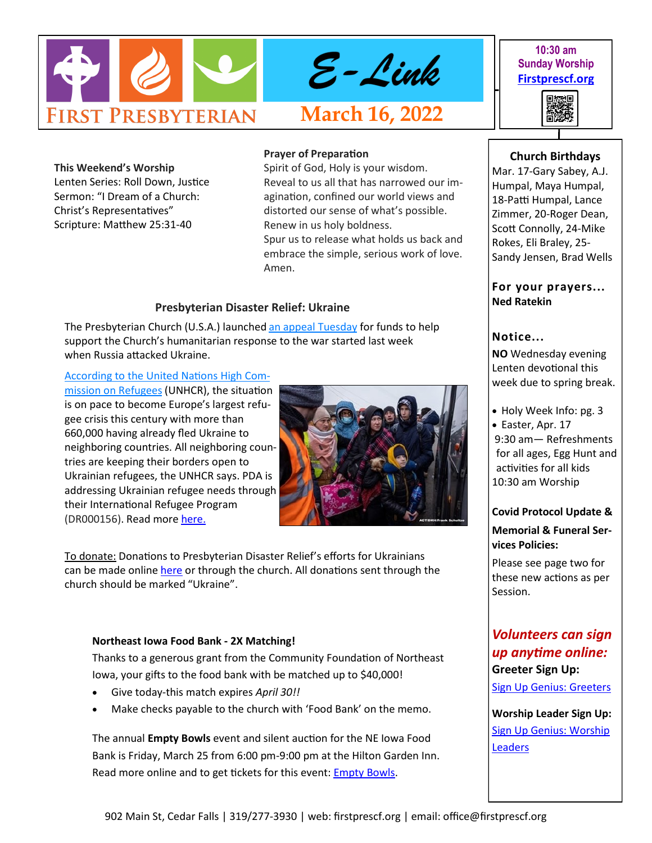

**10:30 am Sunday Worship [Firstprescf.org](http://www.firstprescf.org)**



#### **This Weekend's Worship**

Lenten Series: Roll Down, Justice Sermon: "I Dream of a Church: Christ's Representatives" Scripture: Matthew 25:31-40

### **Prayer of Preparation**

Spirit of God, Holy is your wisdom. Reveal to us all that has narrowed our imagination, confined our world views and distorted our sense of what's possible. Renew in us holy boldness. Spur us to release what holds us back and embrace the simple, serious work of love. Amen.

### **Presbyterian Disaster Relief: Ukraine**

The Presbyterian Church (U.S.A.) launched [an appeal Tuesday](https://pma.pcusa.org/donate/make-a-gift/gift-info/DR000156/?appeal=PDA&package=UK22-PNS) for funds to help support the Church's humanitarian response to the war started last week when Russia attacked Ukraine.

[According to the United Nations High Com-](https://www.unhcr.org/news/briefing/2022/3/621deda74/unhcr-mobilizing-aid-forcibly-displaced-ukraine-neighbouring-countries.html)

[mission on Refugees](https://www.unhcr.org/news/briefing/2022/3/621deda74/unhcr-mobilizing-aid-forcibly-displaced-ukraine-neighbouring-countries.html) (UNHCR), the situation is on pace to become Europe's largest refugee crisis this century with more than 660,000 having already fled Ukraine to neighboring countries. All neighboring countries are keeping their borders open to Ukrainian refugees, the UNHCR says. PDA is addressing Ukrainian refugee needs through their International Refugee Program (DR000156). Read more [here.](https://specialofferings.pcusa.org/story/presbyterian-church-us-seeking-support-humanitaria/)



To donate: Donations to Presbyterian Disaster Relief's efforts for Ukrainians can be made online [here](https://pma.pcusa.org/donate/make-a-gift/gift-info/DR000156/?appeal=PDA&package=UK22-PNS) or through the church. All donations sent through the church should be marked "Ukraine".

#### **Northeast Iowa Food Bank - 2X Matching!**

Thanks to a generous grant from the Community Foundation of Northeast Iowa, your gifts to the food bank with be matched up to \$40,000!

- Give today-this match expires *April 30!!*
- Make checks payable to the church with 'Food Bank' on the memo.

The annual **Empty Bowls** event and silent auction for the NE Iowa Food Bank is Friday, March 25 from 6:00 pm-9:00 pm at the Hilton Garden Inn. Read more online and to get tickets for this event: [Empty Bowls.](https://mailchi.mp/northeastiowafoodbank/the-wait-is-over-empty-bowls-is-almost-here?e=ba2553963b)

### **Church Birthdays**

Mar. 17-Gary Sabey, A.J. Humpal, Maya Humpal, 18-Patti Humpal, Lance Zimmer, 20-Roger Dean, Scott Connolly, 24-Mike Rokes, Eli Braley, 25- Sandy Jensen, Brad Wells

**For your prayers... Ned Ratekin**

### **Notice...**

**NO** Wednesday evening Lenten devotional this week due to spring break.

• Holy Week Info: pg. 3

• Easter, Apr. 17 9:30 am— Refreshments for all ages, Egg Hunt and activities for all kids 10:30 am Worship

# **Covid Protocol Update &**

**Memorial & Funeral Services Policies:**

Please see page two for these new actions as per Session.

# *Volunteers can sign up anytime online:* **Greeter Sign Up:**

[Sign Up Genius: Greeters](https://www.signupgenius.com/go/10C0D4BA9A728ABF4CF8-shepherds1)

**Worship Leader Sign Up:** [Sign Up Genius: Worship](https://www.signupgenius.com/go/10C0D4BA9A728ABF4CF8-worship)  **[Leaders](https://www.signupgenius.com/go/10C0D4BA9A728ABF4CF8-worship)**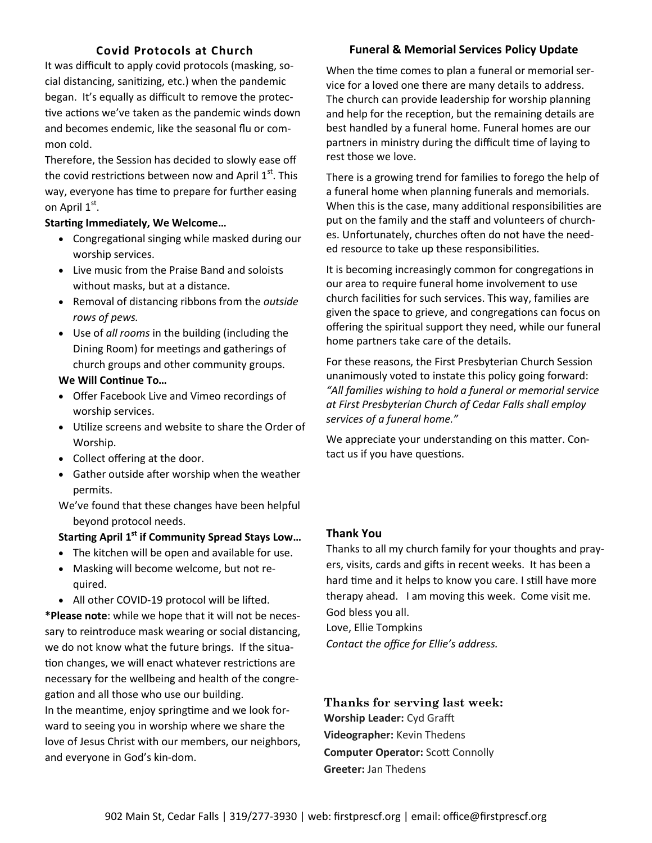## **Covid Protocols at Church**

It was difficult to apply covid protocols (masking, social distancing, sanitizing, etc.) when the pandemic began. It's equally as difficult to remove the protective actions we've taken as the pandemic winds down and becomes endemic, like the seasonal flu or common cold.

Therefore, the Session has decided to slowly ease off the covid restrictions between now and April  $1<sup>st</sup>$ . This way, everyone has time to prepare for further easing on April 1st.

#### **Starting Immediately, We Welcome…**

- Congregational singing while masked during our worship services.
- Live music from the Praise Band and soloists without masks, but at a distance.
- Removal of distancing ribbons from the *outside rows of pews.*
- Use of *all rooms* in the building (including the Dining Room) for meetings and gatherings of church groups and other community groups.

#### **We Will Continue To…**

- Offer Facebook Live and Vimeo recordings of worship services.
- Utilize screens and website to share the Order of Worship.
- Collect offering at the door.
- Gather outside after worship when the weather permits.
- We've found that these changes have been helpful beyond protocol needs.

### **Starting April 1st if Community Spread Stays Low…**

- The kitchen will be open and available for use.
- Masking will become welcome, but not required.
- All other COVID-19 protocol will be lifted.

**\*Please note**: while we hope that it will not be necessary to reintroduce mask wearing or social distancing, we do not know what the future brings. If the situation changes, we will enact whatever restrictions are necessary for the wellbeing and health of the congregation and all those who use our building. In the meantime, enjoy springtime and we look forward to seeing you in worship where we share the love of Jesus Christ with our members, our neighbors, and everyone in God's kin-dom.

### **Funeral & Memorial Services Policy Update**

When the time comes to plan a funeral or memorial service for a loved one there are many details to address. The church can provide leadership for worship planning and help for the reception, but the remaining details are best handled by a funeral home. Funeral homes are our partners in ministry during the difficult time of laying to rest those we love.

There is a growing trend for families to forego the help of a funeral home when planning funerals and memorials. When this is the case, many additional responsibilities are put on the family and the staff and volunteers of churches. Unfortunately, churches often do not have the needed resource to take up these responsibilities.

It is becoming increasingly common for congregations in our area to require funeral home involvement to use church facilities for such services. This way, families are given the space to grieve, and congregations can focus on offering the spiritual support they need, while our funeral home partners take care of the details.

For these reasons, the First Presbyterian Church Session unanimously voted to instate this policy going forward: *"All families wishing to hold a funeral or memorial service at First Presbyterian Church of Cedar Falls shall employ services of a funeral home."*

We appreciate your understanding on this matter. Contact us if you have questions.

#### **Thank You**

Thanks to all my church family for your thoughts and prayers, visits, cards and gifts in recent weeks. It has been a hard time and it helps to know you care. I still have more therapy ahead. I am moving this week. Come visit me. God bless you all.

Love, Ellie Tompkins *Contact the office for Ellie's address.*

**Thanks for serving last week: Worship Leader:** Cyd Grafft **Videographer:** Kevin Thedens **Computer Operator:** Scott Connolly **Greeter:** Jan Thedens